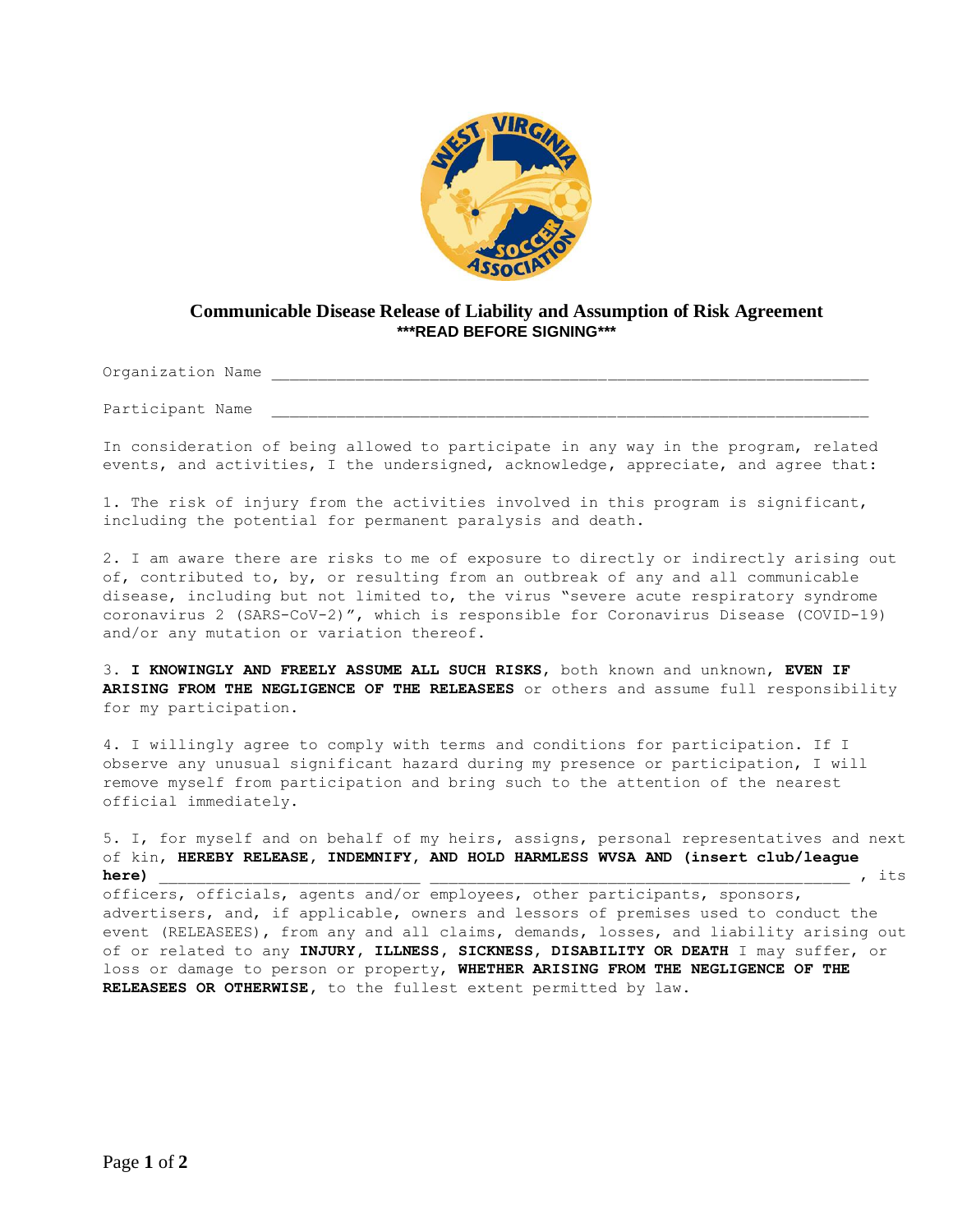

## **Communicable Disease Release of Liability and Assumption of Risk Agreement \*\*\*READ BEFORE SIGNING\*\*\***

Organization Name

Participant Name

In consideration of being allowed to participate in any way in the program, related events, and activities, I the undersigned, acknowledge, appreciate, and agree that:

1. The risk of injury from the activities involved in this program is significant, including the potential for permanent paralysis and death.

2. I am aware there are risks to me of exposure to directly or indirectly arising out of, contributed to, by, or resulting from an outbreak of any and all communicable disease, including but not limited to, the virus "severe acute respiratory syndrome coronavirus 2 (SARS-CoV-2)", which is responsible for Coronavirus Disease (COVID-19) and/or any mutation or variation thereof.

3. **I KNOWINGLY AND FREELY ASSUME ALL SUCH RISKS**, both known and unknown, **EVEN IF ARISING FROM THE NEGLIGENCE OF THE RELEASEES** or others and assume full responsibility for my participation.

4. I willingly agree to comply with terms and conditions for participation. If I observe any unusual significant hazard during my presence or participation, I will remove myself from participation and bring such to the attention of the nearest official immediately.

5. I, for myself and on behalf of my heirs, assigns, personal representatives and next of kin, **HEREBY RELEASE, INDEMNIFY, AND HOLD HARMLESS WVSA AND (insert club/league here)** \_\_\_\_\_\_\_\_\_\_\_\_\_\_\_\_\_\_\_\_\_\_\_\_\_\_\_\_ \_\_\_\_\_\_\_\_\_\_\_\_\_\_\_\_\_\_\_\_\_\_\_\_\_\_\_\_\_\_\_\_\_\_\_\_\_\_\_\_\_\_\_\_\_ , its

officers, officials, agents and/or employees, other participants, sponsors, advertisers, and, if applicable, owners and lessors of premises used to conduct the event (RELEASEES), from any and all claims, demands, losses, and liability arising out of or related to any **INJURY, ILLNESS, SICKNESS, DISABILITY OR DEATH** I may suffer, or loss or damage to person or property, **WHETHER ARISING FROM THE NEGLIGENCE OF THE RELEASEES OR OTHERWISE,** to the fullest extent permitted by law.